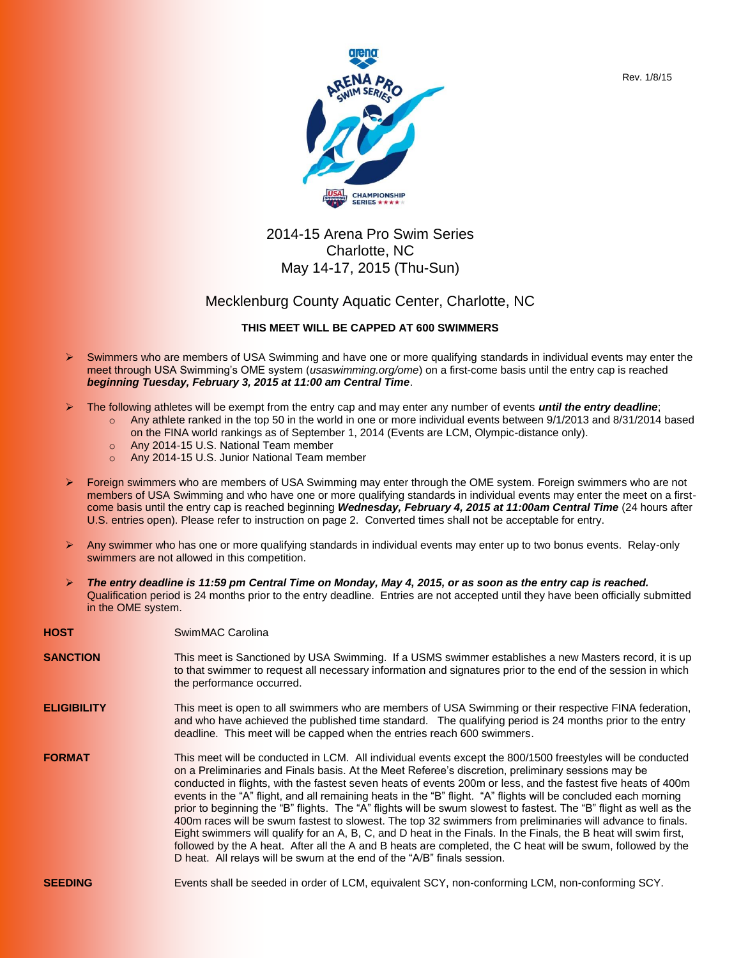



## 2014-15 Arena Pro Swim Series Charlotte, NC May 14-17, 2015 (Thu-Sun)

## Mecklenburg County Aquatic Center, Charlotte, NC

## **THIS MEET WILL BE CAPPED AT 600 SWIMMERS**

- $\triangleright$  Swimmers who are members of USA Swimming and have one or more qualifying standards in individual events may enter the meet through USA Swimming's OME system (*usaswimming.org/ome*) on a first-come basis until the entry cap is reached *beginning Tuesday, February 3, 2015 at 11:00 am Central Time*.
- The following athletes will be exempt from the entry cap and may enter any number of events *until the entry deadline*;
	- o Any athlete ranked in the top 50 in the world in one or more individual events between 9/1/2013 and 8/31/2014 based on the FINA world rankings as of September 1, 2014 (Events are LCM, Olympic-distance only).
	- o Any 2014-15 U.S. National Team member
	- o Any 2014-15 U.S. Junior National Team member
- Foreign swimmers who are members of USA Swimming may enter through the OME system. Foreign swimmers who are not members of USA Swimming and who have one or more qualifying standards in individual events may enter the meet on a firstcome basis until the entry cap is reached beginning *Wednesday, February 4, 2015 at 11:00am Central Time* (24 hours after U.S. entries open). Please refer to instruction on page 2. Converted times shall not be acceptable for entry.
- $\triangleright$  Any swimmer who has one or more qualifying standards in individual events may enter up to two bonus events. Relay-only swimmers are not allowed in this competition.
- *The entry deadline is 11:59 pm Central Time on Monday, May 4, 2015, or as soon as the entry cap is reached.* Qualification period is 24 months prior to the entry deadline. Entries are not accepted until they have been officially submitted in the OME system.

| <b>HOST</b>        | SwimMAC Carolina                                                                                                                                                                                                                                                                                                                                                                                                                                                                                                                                                                                                                                                                                                                                                                                                                                                                                                                                                                                       |
|--------------------|--------------------------------------------------------------------------------------------------------------------------------------------------------------------------------------------------------------------------------------------------------------------------------------------------------------------------------------------------------------------------------------------------------------------------------------------------------------------------------------------------------------------------------------------------------------------------------------------------------------------------------------------------------------------------------------------------------------------------------------------------------------------------------------------------------------------------------------------------------------------------------------------------------------------------------------------------------------------------------------------------------|
| <b>SANCTION</b>    | This meet is Sanctioned by USA Swimming. If a USMS swimmer establishes a new Masters record, it is up<br>to that swimmer to request all necessary information and signatures prior to the end of the session in which<br>the performance occurred.                                                                                                                                                                                                                                                                                                                                                                                                                                                                                                                                                                                                                                                                                                                                                     |
| <b>ELIGIBILITY</b> | This meet is open to all swimmers who are members of USA Swimming or their respective FINA federation,<br>and who have achieved the published time standard. The qualifying period is 24 months prior to the entry<br>deadline. This meet will be capped when the entries reach 600 swimmers.                                                                                                                                                                                                                                                                                                                                                                                                                                                                                                                                                                                                                                                                                                          |
| <b>FORMAT</b>      | This meet will be conducted in LCM. All individual events except the 800/1500 freestyles will be conducted<br>on a Preliminaries and Finals basis. At the Meet Referee's discretion, preliminary sessions may be<br>conducted in flights, with the fastest seven heats of events 200m or less, and the fastest five heats of 400m<br>events in the "A" flight, and all remaining heats in the "B" flight. "A" flights will be concluded each morning<br>prior to beginning the "B" flights. The "A" flights will be swum slowest to fastest. The "B" flight as well as the<br>400m races will be swum fastest to slowest. The top 32 swimmers from preliminaries will advance to finals.<br>Eight swimmers will qualify for an A, B, C, and D heat in the Finals. In the Finals, the B heat will swim first,<br>followed by the A heat. After all the A and B heats are completed, the C heat will be swum, followed by the<br>D heat. All relays will be swum at the end of the "A/B" finals session. |
| <b>SEEDING</b>     | Events shall be seeded in order of LCM, equivalent SCY, non-conforming LCM, non-conforming SCY.                                                                                                                                                                                                                                                                                                                                                                                                                                                                                                                                                                                                                                                                                                                                                                                                                                                                                                        |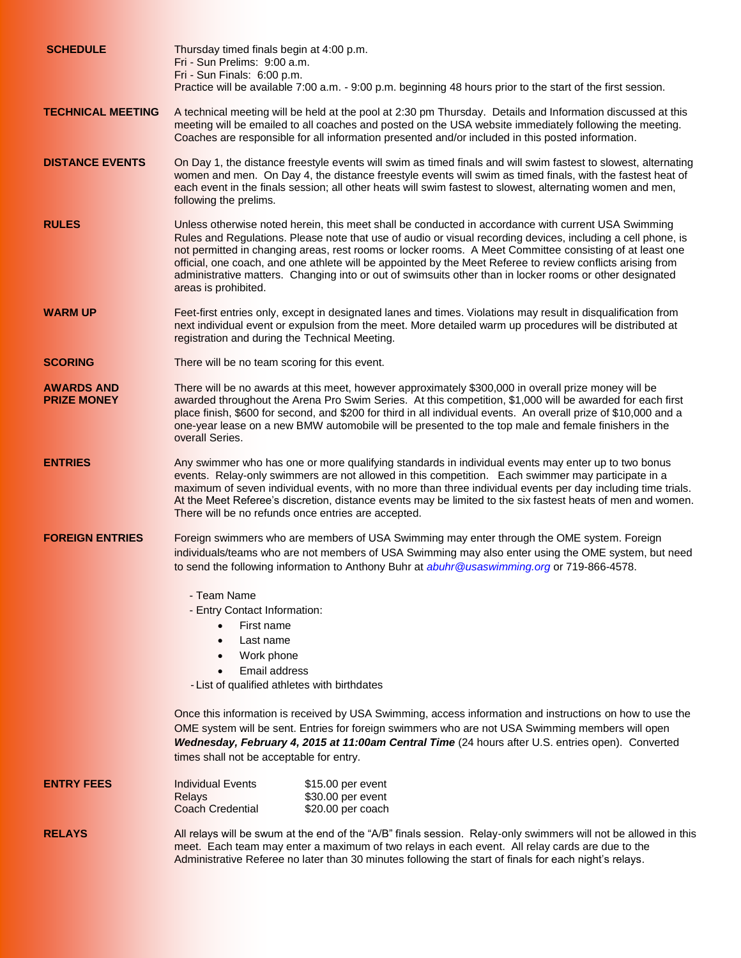| <b>SCHEDULE</b>                         | Thursday timed finals begin at 4:00 p.m.<br>Fri - Sun Prelims: 9:00 a.m.<br>Fri - Sun Finals: 6:00 p.m.<br>Practice will be available 7:00 a.m. - 9:00 p.m. beginning 48 hours prior to the start of the first session.                                                                                                                                                                                                                                                                                                                                                            |  |  |  |  |
|-----------------------------------------|------------------------------------------------------------------------------------------------------------------------------------------------------------------------------------------------------------------------------------------------------------------------------------------------------------------------------------------------------------------------------------------------------------------------------------------------------------------------------------------------------------------------------------------------------------------------------------|--|--|--|--|
| <b>TECHNICAL MEETING</b>                | A technical meeting will be held at the pool at 2:30 pm Thursday. Details and Information discussed at this<br>meeting will be emailed to all coaches and posted on the USA website immediately following the meeting.<br>Coaches are responsible for all information presented and/or included in this posted information.                                                                                                                                                                                                                                                        |  |  |  |  |
| <b>DISTANCE EVENTS</b>                  | On Day 1, the distance freestyle events will swim as timed finals and will swim fastest to slowest, alternating<br>women and men. On Day 4, the distance freestyle events will swim as timed finals, with the fastest heat of<br>each event in the finals session; all other heats will swim fastest to slowest, alternating women and men,<br>following the prelims.                                                                                                                                                                                                              |  |  |  |  |
| <b>RULES</b>                            | Unless otherwise noted herein, this meet shall be conducted in accordance with current USA Swimming<br>Rules and Regulations. Please note that use of audio or visual recording devices, including a cell phone, is<br>not permitted in changing areas, rest rooms or locker rooms. A Meet Committee consisting of at least one<br>official, one coach, and one athlete will be appointed by the Meet Referee to review conflicts arising from<br>administrative matters. Changing into or out of swimsuits other than in locker rooms or other designated<br>areas is prohibited. |  |  |  |  |
| WARM UP                                 | Feet-first entries only, except in designated lanes and times. Violations may result in disqualification from<br>next individual event or expulsion from the meet. More detailed warm up procedures will be distributed at<br>registration and during the Technical Meeting.                                                                                                                                                                                                                                                                                                       |  |  |  |  |
| <b>SCORING</b>                          | There will be no team scoring for this event.                                                                                                                                                                                                                                                                                                                                                                                                                                                                                                                                      |  |  |  |  |
| <b>AWARDS AND</b><br><b>PRIZE MONEY</b> | There will be no awards at this meet, however approximately \$300,000 in overall prize money will be<br>awarded throughout the Arena Pro Swim Series. At this competition, \$1,000 will be awarded for each first<br>place finish, \$600 for second, and \$200 for third in all individual events. An overall prize of \$10,000 and a<br>one-year lease on a new BMW automobile will be presented to the top male and female finishers in the<br>overall Series.                                                                                                                   |  |  |  |  |
| <b>ENTRIES</b>                          | Any swimmer who has one or more qualifying standards in individual events may enter up to two bonus<br>events. Relay-only swimmers are not allowed in this competition. Each swimmer may participate in a<br>maximum of seven individual events, with no more than three individual events per day including time trials.<br>At the Meet Referee's discretion, distance events may be limited to the six fastest heats of men and women.<br>There will be no refunds once entries are accepted.                                                                                    |  |  |  |  |
| <b>FOREIGN ENTRIES</b>                  | Foreign swimmers who are members of USA Swimming may enter through the OME system. Foreign<br>individuals/teams who are not members of USA Swimming may also enter using the OME system, but need<br>to send the following information to Anthony Buhr at <i>abuhr@usaswimming.org</i> or 719-866-4578.                                                                                                                                                                                                                                                                            |  |  |  |  |
|                                         | - Team Name<br>- Entry Contact Information:                                                                                                                                                                                                                                                                                                                                                                                                                                                                                                                                        |  |  |  |  |
|                                         | First name<br>$\bullet$                                                                                                                                                                                                                                                                                                                                                                                                                                                                                                                                                            |  |  |  |  |
|                                         | Last name<br>$\bullet$<br>Work phone<br>$\bullet$                                                                                                                                                                                                                                                                                                                                                                                                                                                                                                                                  |  |  |  |  |
|                                         | Email address<br>$\bullet$                                                                                                                                                                                                                                                                                                                                                                                                                                                                                                                                                         |  |  |  |  |
|                                         | - List of qualified athletes with birthdates                                                                                                                                                                                                                                                                                                                                                                                                                                                                                                                                       |  |  |  |  |
|                                         | Once this information is received by USA Swimming, access information and instructions on how to use the<br>OME system will be sent. Entries for foreign swimmers who are not USA Swimming members will open<br>Wednesday, February 4, 2015 at 11:00am Central Time (24 hours after U.S. entries open). Converted<br>times shall not be acceptable for entry.                                                                                                                                                                                                                      |  |  |  |  |
| <b>ENTRY FEES</b>                       | <b>Individual Events</b><br>\$15.00 per event<br>\$30.00 per event<br><b>Relays</b><br><b>Coach Credential</b><br>\$20.00 per coach                                                                                                                                                                                                                                                                                                                                                                                                                                                |  |  |  |  |
| <b>RELAYS</b>                           | All relays will be swum at the end of the "A/B" finals session. Relay-only swimmers will not be allowed in this<br>meet. Each team may enter a maximum of two relays in each event. All relay cards are due to the<br>Administrative Referee no later than 30 minutes following the start of finals for each night's relays.                                                                                                                                                                                                                                                       |  |  |  |  |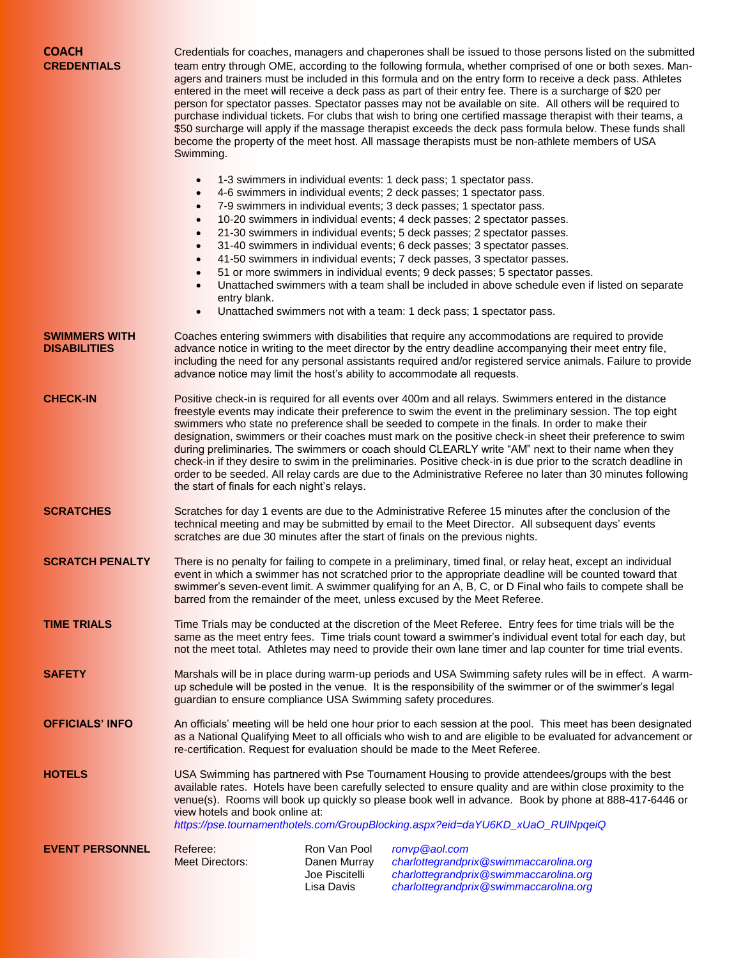| <b>COACH</b><br><b>CREDENTIALS</b>          | Credentials for coaches, managers and chaperones shall be issued to those persons listed on the submitted<br>team entry through OME, according to the following formula, whether comprised of one or both sexes. Man-<br>agers and trainers must be included in this formula and on the entry form to receive a deck pass. Athletes<br>entered in the meet will receive a deck pass as part of their entry fee. There is a surcharge of \$20 per<br>person for spectator passes. Spectator passes may not be available on site. All others will be required to<br>purchase individual tickets. For clubs that wish to bring one certified massage therapist with their teams, a<br>\$50 surcharge will apply if the massage therapist exceeds the deck pass formula below. These funds shall<br>become the property of the meet host. All massage therapists must be non-athlete members of USA<br>Swimming. |                                                              |                                                                                                                                                                                                                                                                                                                                                                                                                                                                                                                                                                                                                                                                                                                                                                                      |  |  |  |  |
|---------------------------------------------|--------------------------------------------------------------------------------------------------------------------------------------------------------------------------------------------------------------------------------------------------------------------------------------------------------------------------------------------------------------------------------------------------------------------------------------------------------------------------------------------------------------------------------------------------------------------------------------------------------------------------------------------------------------------------------------------------------------------------------------------------------------------------------------------------------------------------------------------------------------------------------------------------------------|--------------------------------------------------------------|--------------------------------------------------------------------------------------------------------------------------------------------------------------------------------------------------------------------------------------------------------------------------------------------------------------------------------------------------------------------------------------------------------------------------------------------------------------------------------------------------------------------------------------------------------------------------------------------------------------------------------------------------------------------------------------------------------------------------------------------------------------------------------------|--|--|--|--|
|                                             | $\bullet$<br>$\bullet$<br>$\bullet$<br>$\bullet$<br>$\bullet$<br>$\bullet$<br>$\bullet$<br>$\bullet$<br>$\bullet$<br>entry blank.<br>$\bullet$                                                                                                                                                                                                                                                                                                                                                                                                                                                                                                                                                                                                                                                                                                                                                               |                                                              | 1-3 swimmers in individual events: 1 deck pass; 1 spectator pass.<br>4-6 swimmers in individual events; 2 deck passes; 1 spectator pass.<br>7-9 swimmers in individual events; 3 deck passes; 1 spectator pass.<br>10-20 swimmers in individual events; 4 deck passes; 2 spectator passes.<br>21-30 swimmers in individual events; 5 deck passes; 2 spectator passes.<br>31-40 swimmers in individual events; 6 deck passes; 3 spectator passes.<br>41-50 swimmers in individual events; 7 deck passes, 3 spectator passes.<br>51 or more swimmers in individual events; 9 deck passes; 5 spectator passes.<br>Unattached swimmers with a team shall be included in above schedule even if listed on separate<br>Unattached swimmers not with a team: 1 deck pass; 1 spectator pass. |  |  |  |  |
| <b>SWIMMERS WITH</b><br><b>DISABILITIES</b> | Coaches entering swimmers with disabilities that require any accommodations are required to provide<br>advance notice in writing to the meet director by the entry deadline accompanying their meet entry file,<br>including the need for any personal assistants required and/or registered service animals. Failure to provide<br>advance notice may limit the host's ability to accommodate all requests.                                                                                                                                                                                                                                                                                                                                                                                                                                                                                                 |                                                              |                                                                                                                                                                                                                                                                                                                                                                                                                                                                                                                                                                                                                                                                                                                                                                                      |  |  |  |  |
| <b>CHECK-IN</b>                             | Positive check-in is required for all events over 400m and all relays. Swimmers entered in the distance<br>freestyle events may indicate their preference to swim the event in the preliminary session. The top eight<br>swimmers who state no preference shall be seeded to compete in the finals. In order to make their<br>designation, swimmers or their coaches must mark on the positive check-in sheet their preference to swim<br>during preliminaries. The swimmers or coach should CLEARLY write "AM" next to their name when they<br>check-in if they desire to swim in the preliminaries. Positive check-in is due prior to the scratch deadline in<br>order to be seeded. All relay cards are due to the Administrative Referee no later than 30 minutes following<br>the start of finals for each night's relays.                                                                              |                                                              |                                                                                                                                                                                                                                                                                                                                                                                                                                                                                                                                                                                                                                                                                                                                                                                      |  |  |  |  |
| <b>SCRATCHES</b>                            | Scratches for day 1 events are due to the Administrative Referee 15 minutes after the conclusion of the<br>technical meeting and may be submitted by email to the Meet Director. All subsequent days' events<br>scratches are due 30 minutes after the start of finals on the previous nights.                                                                                                                                                                                                                                                                                                                                                                                                                                                                                                                                                                                                               |                                                              |                                                                                                                                                                                                                                                                                                                                                                                                                                                                                                                                                                                                                                                                                                                                                                                      |  |  |  |  |
| <b>SCRATCH PENALTY</b>                      | There is no penalty for failing to compete in a preliminary, timed final, or relay heat, except an individual<br>event in which a swimmer has not scratched prior to the appropriate deadline will be counted toward that<br>swimmer's seven-event limit. A swimmer qualifying for an A, B, C, or D Final who fails to compete shall be<br>barred from the remainder of the meet, unless excused by the Meet Referee.                                                                                                                                                                                                                                                                                                                                                                                                                                                                                        |                                                              |                                                                                                                                                                                                                                                                                                                                                                                                                                                                                                                                                                                                                                                                                                                                                                                      |  |  |  |  |
| <b>TIME TRIALS</b>                          | Time Trials may be conducted at the discretion of the Meet Referee. Entry fees for time trials will be the<br>same as the meet entry fees. Time trials count toward a swimmer's individual event total for each day, but<br>not the meet total. Athletes may need to provide their own lane timer and lap counter for time trial events.                                                                                                                                                                                                                                                                                                                                                                                                                                                                                                                                                                     |                                                              |                                                                                                                                                                                                                                                                                                                                                                                                                                                                                                                                                                                                                                                                                                                                                                                      |  |  |  |  |
| <b>SAFETY</b>                               | Marshals will be in place during warm-up periods and USA Swimming safety rules will be in effect. A warm-<br>up schedule will be posted in the venue. It is the responsibility of the swimmer or of the swimmer's legal<br>guardian to ensure compliance USA Swimming safety procedures.                                                                                                                                                                                                                                                                                                                                                                                                                                                                                                                                                                                                                     |                                                              |                                                                                                                                                                                                                                                                                                                                                                                                                                                                                                                                                                                                                                                                                                                                                                                      |  |  |  |  |
| <b>OFFICIALS' INFO</b>                      | An officials' meeting will be held one hour prior to each session at the pool. This meet has been designated<br>as a National Qualifying Meet to all officials who wish to and are eligible to be evaluated for advancement or<br>re-certification. Request for evaluation should be made to the Meet Referee.                                                                                                                                                                                                                                                                                                                                                                                                                                                                                                                                                                                               |                                                              |                                                                                                                                                                                                                                                                                                                                                                                                                                                                                                                                                                                                                                                                                                                                                                                      |  |  |  |  |
| <b>HOTELS</b>                               | USA Swimming has partnered with Pse Tournament Housing to provide attendees/groups with the best<br>available rates. Hotels have been carefully selected to ensure quality and are within close proximity to the<br>venue(s). Rooms will book up quickly so please book well in advance. Book by phone at 888-417-6446 or<br>view hotels and book online at:<br>https://pse.tournamenthotels.com/GroupBlocking.aspx?eid=daYU6KD_xUaO_RUINpqeiQ                                                                                                                                                                                                                                                                                                                                                                                                                                                               |                                                              |                                                                                                                                                                                                                                                                                                                                                                                                                                                                                                                                                                                                                                                                                                                                                                                      |  |  |  |  |
| <b>EVENT PERSONNEL</b>                      | Referee:<br><b>Meet Directors:</b>                                                                                                                                                                                                                                                                                                                                                                                                                                                                                                                                                                                                                                                                                                                                                                                                                                                                           | Ron Van Pool<br>Danen Murray<br>Joe Piscitelli<br>Lisa Davis | ronvp@aol.com<br>charlottegrandprix@swimmaccarolina.org<br>charlottegrandprix@swimmaccarolina.org<br>charlottegrandprix@swimmaccarolina.org                                                                                                                                                                                                                                                                                                                                                                                                                                                                                                                                                                                                                                          |  |  |  |  |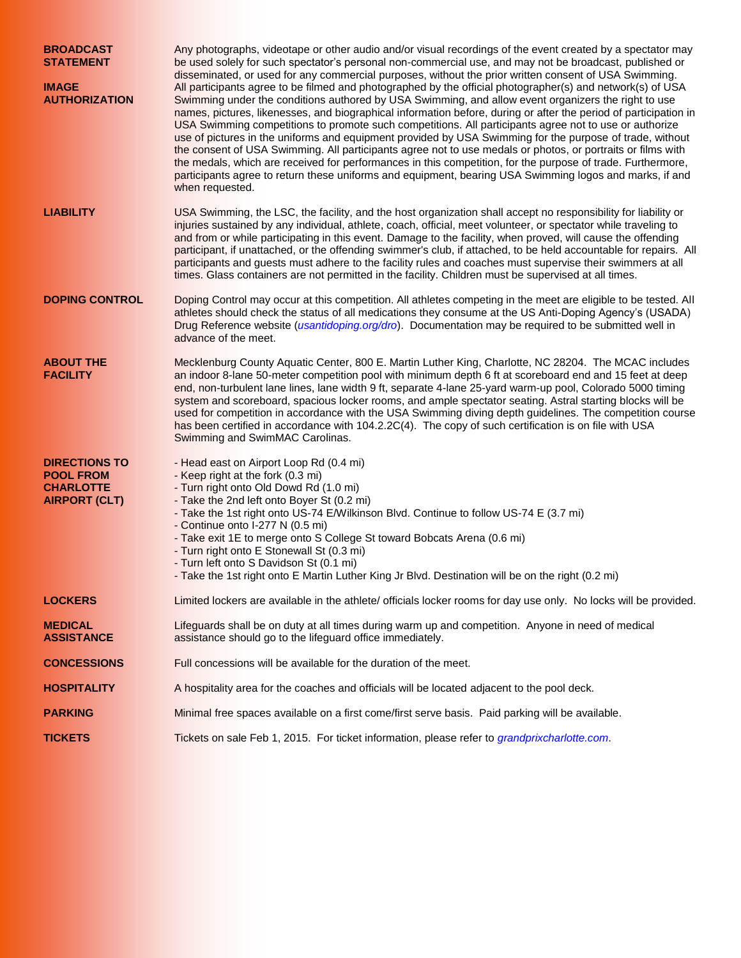| <b>BROADCAST</b><br><b>STATEMENT</b><br><b>IMAGE</b><br><b>AUTHORIZATION</b>         | Any photographs, videotape or other audio and/or visual recordings of the event created by a spectator may<br>be used solely for such spectator's personal non-commercial use, and may not be broadcast, published or<br>disseminated, or used for any commercial purposes, without the prior written consent of USA Swimming.<br>All participants agree to be filmed and photographed by the official photographer(s) and network(s) of USA<br>Swimming under the conditions authored by USA Swimming, and allow event organizers the right to use<br>names, pictures, likenesses, and biographical information before, during or after the period of participation in<br>USA Swimming competitions to promote such competitions. All participants agree not to use or authorize<br>use of pictures in the uniforms and equipment provided by USA Swimming for the purpose of trade, without<br>the consent of USA Swimming. All participants agree not to use medals or photos, or portraits or films with<br>the medals, which are received for performances in this competition, for the purpose of trade. Furthermore,<br>participants agree to return these uniforms and equipment, bearing USA Swimming logos and marks, if and<br>when requested. |  |  |  |
|--------------------------------------------------------------------------------------|-----------------------------------------------------------------------------------------------------------------------------------------------------------------------------------------------------------------------------------------------------------------------------------------------------------------------------------------------------------------------------------------------------------------------------------------------------------------------------------------------------------------------------------------------------------------------------------------------------------------------------------------------------------------------------------------------------------------------------------------------------------------------------------------------------------------------------------------------------------------------------------------------------------------------------------------------------------------------------------------------------------------------------------------------------------------------------------------------------------------------------------------------------------------------------------------------------------------------------------------------------------|--|--|--|
| <b>LIABILITY</b>                                                                     | USA Swimming, the LSC, the facility, and the host organization shall accept no responsibility for liability or<br>injuries sustained by any individual, athlete, coach, official, meet volunteer, or spectator while traveling to<br>and from or while participating in this event. Damage to the facility, when proved, will cause the offending<br>participant, if unattached, or the offending swimmer's club, if attached, to be held accountable for repairs. All<br>participants and guests must adhere to the facility rules and coaches must supervise their swimmers at all<br>times. Glass containers are not permitted in the facility. Children must be supervised at all times.                                                                                                                                                                                                                                                                                                                                                                                                                                                                                                                                                              |  |  |  |
| <b>DOPING CONTROL</b>                                                                | Doping Control may occur at this competition. All athletes competing in the meet are eligible to be tested. All<br>athletes should check the status of all medications they consume at the US Anti-Doping Agency's (USADA)<br>Drug Reference website (usantidoping.org/dro). Documentation may be required to be submitted well in<br>advance of the meet.                                                                                                                                                                                                                                                                                                                                                                                                                                                                                                                                                                                                                                                                                                                                                                                                                                                                                                |  |  |  |
| <b>ABOUT THE</b><br><b>FACILITY</b>                                                  | Mecklenburg County Aquatic Center, 800 E. Martin Luther King, Charlotte, NC 28204. The MCAC includes<br>an indoor 8-lane 50-meter competition pool with minimum depth 6 ft at scoreboard end and 15 feet at deep<br>end, non-turbulent lane lines, lane width 9 ft, separate 4-lane 25-yard warm-up pool, Colorado 5000 timing<br>system and scoreboard, spacious locker rooms, and ample spectator seating. Astral starting blocks will be<br>used for competition in accordance with the USA Swimming diving depth guidelines. The competition course<br>has been certified in accordance with 104.2.2C(4). The copy of such certification is on file with USA<br>Swimming and SwimMAC Carolinas.                                                                                                                                                                                                                                                                                                                                                                                                                                                                                                                                                       |  |  |  |
| <b>DIRECTIONS TO</b><br><b>POOL FROM</b><br><b>CHARLOTTE</b><br><b>AIRPORT (CLT)</b> | - Head east on Airport Loop Rd (0.4 mi)<br>- Keep right at the fork (0.3 mi)<br>- Turn right onto Old Dowd Rd (1.0 mi)<br>- Take the 2nd left onto Boyer St (0.2 mi)<br>- Take the 1st right onto US-74 E/Wilkinson Blvd. Continue to follow US-74 E (3.7 mi)<br>- Continue onto I-277 N (0.5 mi)<br>- Take exit 1E to merge onto S College St toward Bobcats Arena (0.6 mi)<br>- Turn right onto E Stonewall St (0.3 mi)<br>- Turn left onto S Davidson St (0.1 mi)<br>- Take the 1st right onto E Martin Luther King Jr Blvd. Destination will be on the right (0.2 mi)                                                                                                                                                                                                                                                                                                                                                                                                                                                                                                                                                                                                                                                                                 |  |  |  |
| <b>LOCKERS</b>                                                                       | Limited lockers are available in the athlete/ officials locker rooms for day use only. No locks will be provided.                                                                                                                                                                                                                                                                                                                                                                                                                                                                                                                                                                                                                                                                                                                                                                                                                                                                                                                                                                                                                                                                                                                                         |  |  |  |
| <b>MEDICAL</b><br><b>ASSISTANCE</b>                                                  | Lifeguards shall be on duty at all times during warm up and competition. Anyone in need of medical<br>assistance should go to the lifeguard office immediately.                                                                                                                                                                                                                                                                                                                                                                                                                                                                                                                                                                                                                                                                                                                                                                                                                                                                                                                                                                                                                                                                                           |  |  |  |
| <b>CONCESSIONS</b>                                                                   | Full concessions will be available for the duration of the meet.                                                                                                                                                                                                                                                                                                                                                                                                                                                                                                                                                                                                                                                                                                                                                                                                                                                                                                                                                                                                                                                                                                                                                                                          |  |  |  |
| <b>HOSPITALITY</b>                                                                   | A hospitality area for the coaches and officials will be located adjacent to the pool deck.                                                                                                                                                                                                                                                                                                                                                                                                                                                                                                                                                                                                                                                                                                                                                                                                                                                                                                                                                                                                                                                                                                                                                               |  |  |  |
| <b>PARKING</b>                                                                       | Minimal free spaces available on a first come/first serve basis. Paid parking will be available.                                                                                                                                                                                                                                                                                                                                                                                                                                                                                                                                                                                                                                                                                                                                                                                                                                                                                                                                                                                                                                                                                                                                                          |  |  |  |
| <b>TICKETS</b>                                                                       | Tickets on sale Feb 1, 2015. For ticket information, please refer to grandprixcharlotte.com.                                                                                                                                                                                                                                                                                                                                                                                                                                                                                                                                                                                                                                                                                                                                                                                                                                                                                                                                                                                                                                                                                                                                                              |  |  |  |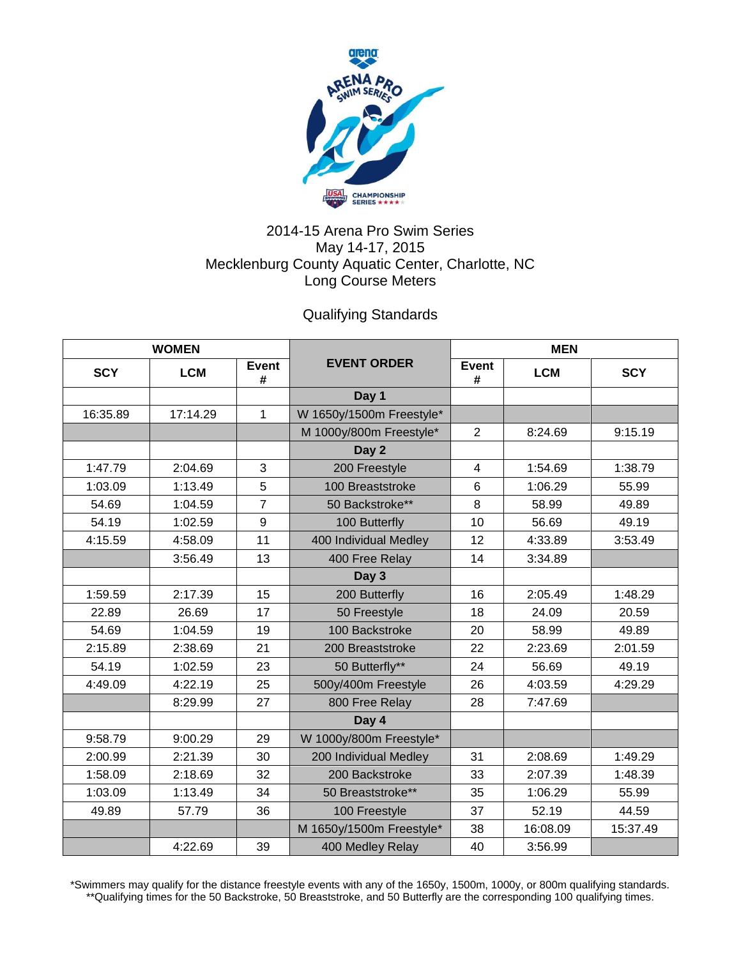

## 2014-15 Arena Pro Swim Series May 14-17, 2015 Mecklenburg County Aquatic Center, Charlotte, NC Long Course Meters

Qualifying Standards

| <b>WOMEN</b> |            |                   |                          | <b>MEN</b>      |            |            |
|--------------|------------|-------------------|--------------------------|-----------------|------------|------------|
| <b>SCY</b>   | <b>LCM</b> | <b>Event</b><br># | <b>EVENT ORDER</b>       | Event<br>#      | <b>LCM</b> | <b>SCY</b> |
|              |            |                   | Day 1                    |                 |            |            |
| 16:35.89     | 17:14.29   | $\mathbf{1}$      | W 1650y/1500m Freestyle* |                 |            |            |
|              |            |                   | M 1000y/800m Freestyle*  | $\overline{2}$  | 8:24.69    | 9:15.19    |
|              |            |                   | Day 2                    |                 |            |            |
| 1:47.79      | 2:04.69    | 3                 | 200 Freestyle            | $\overline{4}$  | 1:54.69    | 1:38.79    |
| 1:03.09      | 1:13.49    | 5                 | 100 Breaststroke         | $6\phantom{1}6$ | 1:06.29    | 55.99      |
| 54.69        | 1:04.59    | $\overline{7}$    | 50 Backstroke**          | 8               | 58.99      | 49.89      |
| 54.19        | 1:02.59    | 9                 | 100 Butterfly            | 10              | 56.69      | 49.19      |
| 4:15.59      | 4:58.09    | 11                | 400 Individual Medley    | 12              | 4:33.89    | 3:53.49    |
|              | 3:56.49    | 13                | 400 Free Relay           | 14              | 3:34.89    |            |
|              |            |                   | Day 3                    |                 |            |            |
| 1:59.59      | 2:17.39    | 15                | 200 Butterfly            | 16              | 2:05.49    | 1:48.29    |
| 22.89        | 26.69      | 17                | 50 Freestyle             | 18              | 24.09      | 20.59      |
| 54.69        | 1:04.59    | 19                | 100 Backstroke           | 20              | 58.99      | 49.89      |
| 2:15.89      | 2:38.69    | 21                | 200 Breaststroke         | 22              | 2:23.69    | 2:01.59    |
| 54.19        | 1:02.59    | 23                | 50 Butterfly**           | 24              | 56.69      | 49.19      |
| 4:49.09      | 4:22.19    | 25                | 500y/400m Freestyle      | 26              | 4:03.59    | 4:29.29    |
|              | 8:29.99    | 27                | 800 Free Relay           | 28              | 7:47.69    |            |
|              |            |                   | Day 4                    |                 |            |            |
| 9:58.79      | 9:00.29    | 29                | W 1000y/800m Freestyle*  |                 |            |            |
| 2:00.99      | 2:21.39    | 30                | 200 Individual Medley    | 31              | 2:08.69    | 1:49.29    |
| 1:58.09      | 2:18.69    | 32                | 200 Backstroke           | 33              | 2:07.39    | 1:48.39    |
| 1:03.09      | 1:13.49    | 34                | 50 Breaststroke**        | 35              | 1:06.29    | 55.99      |
| 49.89        | 57.79      | 36                | 100 Freestyle            | 37              | 52.19      | 44.59      |
|              |            |                   | M 1650y/1500m Freestyle* | 38              | 16:08.09   | 15:37.49   |
|              | 4:22.69    | 39                | 400 Medley Relay         | 40              | 3:56.99    |            |

\*Swimmers may qualify for the distance freestyle events with any of the 1650y, 1500m, 1000y, or 800m qualifying standards. \*\*Qualifying times for the 50 Backstroke, 50 Breaststroke, and 50 Butterfly are the corresponding 100 qualifying times.